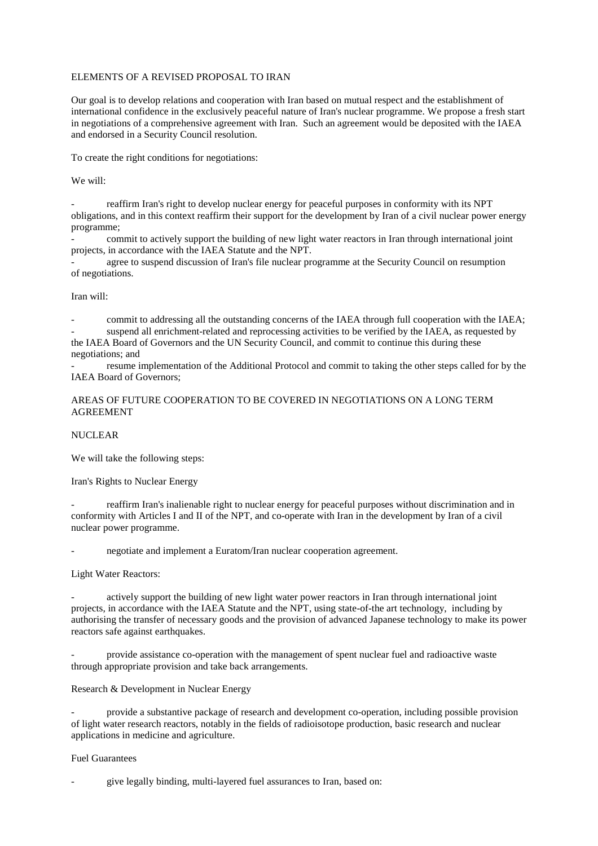## ELEMENTS OF A REVISED PROPOSAL TO IRAN

Our goal is to develop relations and cooperation with Iran based on mutual respect and the establishment of international confidence in the exclusively peaceful nature of Iran's nuclear programme. We propose a fresh start in negotiations of a comprehensive agreement with Iran. Such an agreement would be deposited with the IAEA and endorsed in a Security Council resolution.

To create the right conditions for negotiations:

We will:

- reaffirm Iran's right to develop nuclear energy for peaceful purposes in conformity with its NPT obligations, and in this context reaffirm their support for the development by Iran of a civil nuclear power energy programme;

commit to actively support the building of new light water reactors in Iran through international joint projects, in accordance with the IAEA Statute and the NPT.

agree to suspend discussion of Iran's file nuclear programme at the Security Council on resumption of negotiations.

## Iran will:

commit to addressing all the outstanding concerns of the IAEA through full cooperation with the IAEA; suspend all enrichment-related and reprocessing activities to be verified by the IAEA, as requested by the IAEA Board of Governors and the UN Security Council, and commit to continue this during these negotiations; and

resume implementation of the Additional Protocol and commit to taking the other steps called for by the IAEA Board of Governors;

## AREAS OF FUTURE COOPERATION TO BE COVERED IN NEGOTIATIONS ON A LONG TERM AGREEMENT

# NUCLEAR

We will take the following steps:

Iran's Rights to Nuclear Energy

reaffirm Iran's inalienable right to nuclear energy for peaceful purposes without discrimination and in conformity with Articles I and II of the NPT, and co-operate with Iran in the development by Iran of a civil nuclear power programme.

- negotiate and implement a Euratom/Iran nuclear cooperation agreement.

Light Water Reactors:

actively support the building of new light water power reactors in Iran through international joint projects, in accordance with the IAEA Statute and the NPT, using state-of-the art technology, including by authorising the transfer of necessary goods and the provision of advanced Japanese technology to make its power reactors safe against earthquakes.

- provide assistance co-operation with the management of spent nuclear fuel and radioactive waste through appropriate provision and take back arrangements.

Research & Development in Nuclear Energy

- provide a substantive package of research and development co-operation, including possible provision of light water research reactors, notably in the fields of radioisotope production, basic research and nuclear applications in medicine and agriculture.

## Fuel Guarantees

give legally binding, multi-layered fuel assurances to Iran, based on: